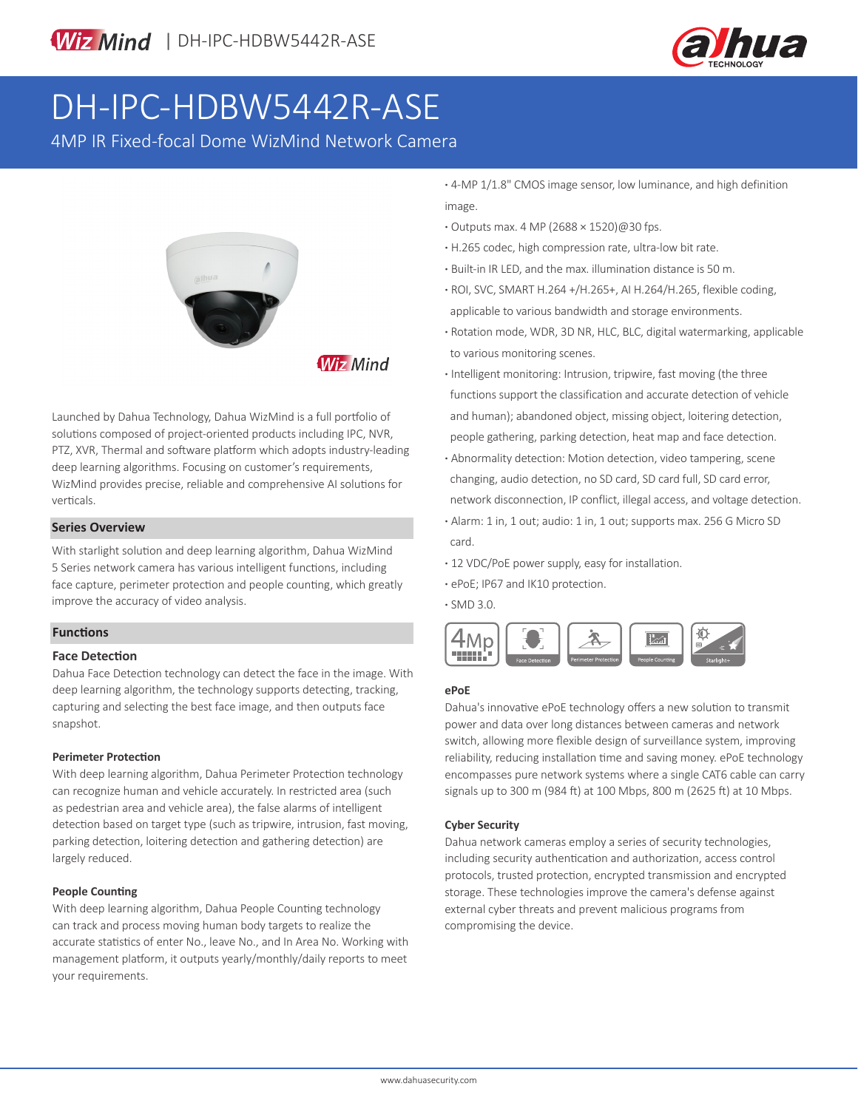

# DH-IPC-HDBW5442R-ASE

4MP IR Fixed-focal Dome WizMind Network Camera



**Wiz Mind** 

Launched by Dahua Technology, Dahua WizMind is a full portfolio of solutions composed of project-oriented products including IPC, NVR, PTZ, XVR, Thermal and software platform which adopts industry-leading deep learning algorithms. Focusing on customer's requirements, WizMind provides precise, reliable and comprehensive AI solutions for verticals.

#### **Series Overview**

With starlight solution and deep learning algorithm, Dahua WizMind 5 Series network camera has various intelligent functions, including face capture, perimeter protection and people counting, which greatly improve the accuracy of video analysis.

# **Functions**

#### **Face Detection**

Dahua Face Detection technology can detect the face in the image. With deep learning algorithm, the technology supports detecting, tracking, capturing and selecting the best face image, and then outputs face snapshot.

#### **Perimeter Protection**

With deep learning algorithm, Dahua Perimeter Protection technology can recognize human and vehicle accurately. In restricted area (such as pedestrian area and vehicle area), the false alarms of intelligent detection based on target type (such as tripwire, intrusion, fast moving, parking detection, loitering detection and gathering detection) are largely reduced.

#### **People Counting**

With deep learning algorithm, Dahua People Counting technology can track and process moving human body targets to realize the accurate statistics of enter No., leave No., and In Area No. Working with management platform, it outputs yearly/monthly/daily reports to meet your requirements.

**·** 4-MP 1/1.8" CMOS image sensor, low luminance, and high definition image.

- **·** Outputs max. 4 MP (2688 × 1520)@30 fps.
- **·** H.265 codec, high compression rate, ultra-low bit rate.
- **·** Built-in IR LED, and the max. illumination distance is 50 m.
- **·** ROI, SVC, SMART H.264 +/H.265+, AI H.264/H.265, flexible coding, applicable to various bandwidth and storage environments.
- **·** Rotation mode, WDR, 3D NR, HLC, BLC, digital watermarking, applicable to various monitoring scenes.
- **·** Intelligent monitoring: Intrusion, tripwire, fast moving (the three functions support the classification and accurate detection of vehicle and human); abandoned object, missing object, loitering detection, people gathering, parking detection, heat map and face detection.
- **·** Abnormality detection: Motion detection, video tampering, scene changing, audio detection, no SD card, SD card full, SD card error, network disconnection, IP conflict, illegal access, and voltage detection.
- **·** Alarm: 1 in, 1 out; audio: 1 in, 1 out; supports max. 256 G Micro SD card.
- **·** 12 VDC/PoE power supply, easy for installation.
- **·** ePoE; IP67 and IK10 protection.

**·** SMD 3.0.



# **ePoE**

Dahua's innovative ePoE technology offers a new solution to transmit power and data over long distances between cameras and network switch, allowing more flexible design of surveillance system, improving reliability, reducing installation time and saving money. ePoE technology encompasses pure network systems where a single CAT6 cable can carry signals up to 300 m (984 ft) at 100 Mbps, 800 m (2625 ft) at 10 Mbps.

#### **Cyber Security**

Dahua network cameras employ a series of security technologies, including security authentication and authorization, access control protocols, trusted protection, encrypted transmission and encrypted storage. These technologies improve the camera's defense against external cyber threats and prevent malicious programs from compromising the device.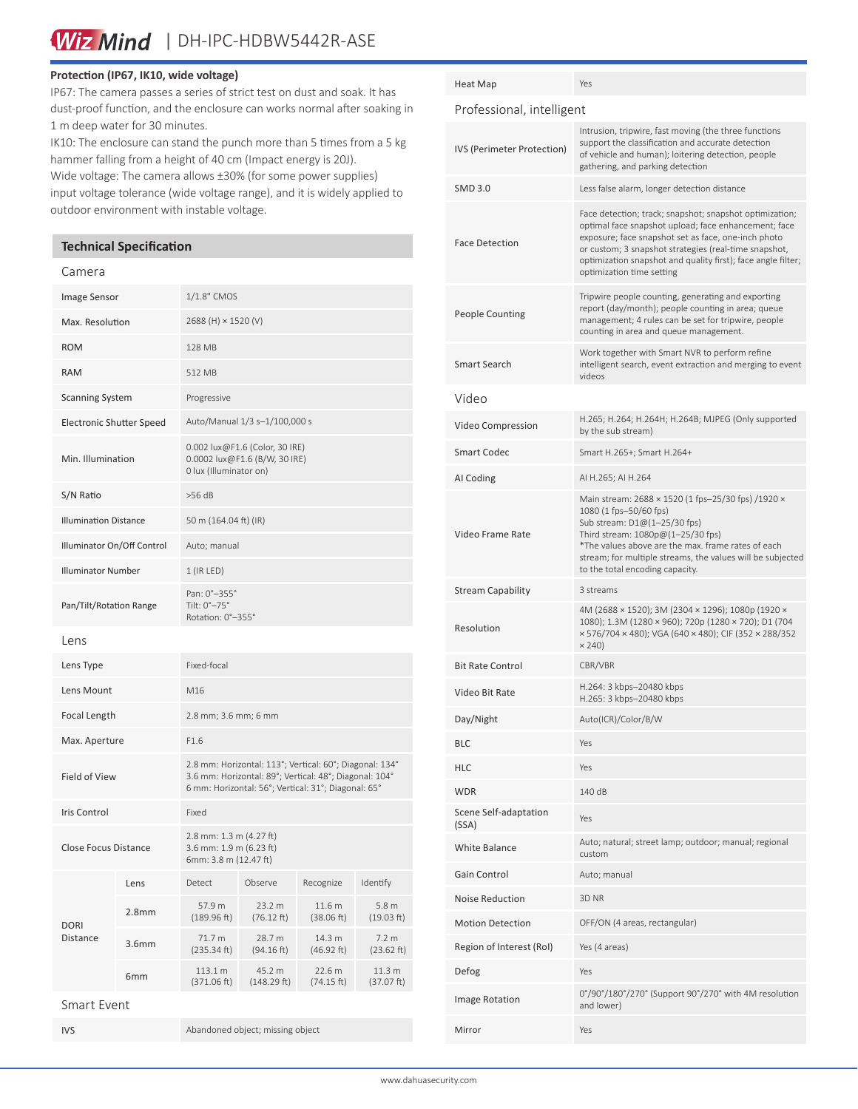Wiz Mind | DH-IPC-HDBW5442R-ASE

# **Protection (IP67, IK10, wide voltage)**

IP67: The camera passes a series of strict test on dust and soak. It has dust-proof function, and the enclosure can works normal after soaking in 1 m deep water for 30 minutes.

IK10: The enclosure can stand the punch more than 5 times from a 5 kg hammer falling from a height of 40 cm (Impact energy is 20J).

Wide voltage: The camera allows ±30% (for some power supplies) input voltage tolerance (wide voltage range), and it is widely applied to outdoor environment with instable voltage.

# **Technical Specification**

# Camera

| Image Sensor                    |                   | 1/1.8" CMOS                                                                                                                                                              |                       |                      |                                |
|---------------------------------|-------------------|--------------------------------------------------------------------------------------------------------------------------------------------------------------------------|-----------------------|----------------------|--------------------------------|
| Max. Resolution                 |                   | 2688 (H) × 1520 (V)                                                                                                                                                      |                       |                      |                                |
| <b>ROM</b>                      |                   | 128 MB                                                                                                                                                                   |                       |                      |                                |
| <b>RAM</b>                      |                   | 512 MB                                                                                                                                                                   |                       |                      |                                |
| <b>Scanning System</b>          |                   | Progressive                                                                                                                                                              |                       |                      |                                |
| <b>Electronic Shutter Speed</b> |                   | Auto/Manual 1/3 s-1/100,000 s                                                                                                                                            |                       |                      |                                |
| Min. Illumination               |                   | 0.002 lux@F1.6 (Color, 30 IRE)<br>0.0002 lux@F1.6 (B/W, 30 IRE)<br>0 lux (Illuminator on)                                                                                |                       |                      |                                |
| S/N Ratio                       |                   | $>56$ dB                                                                                                                                                                 |                       |                      |                                |
| <b>Illumination Distance</b>    |                   | 50 m (164.04 ft) (IR)                                                                                                                                                    |                       |                      |                                |
| Illuminator On/Off Control      |                   | Auto; manual                                                                                                                                                             |                       |                      |                                |
| <b>Illuminator Number</b>       |                   | 1 (IR LED)                                                                                                                                                               |                       |                      |                                |
| Pan/Tilt/Rotation Range         |                   | Pan: 0°-355°<br>Tilt: 0°-75°<br>Rotation: 0°-355°                                                                                                                        |                       |                      |                                |
| Lens                            |                   |                                                                                                                                                                          |                       |                      |                                |
| Lens Type                       |                   | Fixed-focal                                                                                                                                                              |                       |                      |                                |
| Lens Mount                      |                   | M16                                                                                                                                                                      |                       |                      |                                |
| Focal Length                    |                   | 2.8 mm; 3.6 mm; 6 mm                                                                                                                                                     |                       |                      |                                |
| Max. Aperture                   |                   | F1.6                                                                                                                                                                     |                       |                      |                                |
| <b>Field of View</b>            |                   | 2.8 mm: Horizontal: 113°; Vertical: 60°; Diagonal: 134°<br>3.6 mm: Horizontal: 89°; Vertical: 48°; Diagonal: 104°<br>6 mm: Horizontal: 56°; Vertical: 31°; Diagonal: 65° |                       |                      |                                |
| Iris Control                    |                   | Fixed                                                                                                                                                                    |                       |                      |                                |
| Close Focus Distance            |                   | 2.8 mm: 1.3 m (4.27 ft)<br>3.6 mm: 1.9 m (6.23 ft)<br>6mm: 3.8 m (12.47 ft)                                                                                              |                       |                      |                                |
|                                 | Lens              | Detect                                                                                                                                                                   | Observe               | Recognize            | Identify                       |
| <b>DORI</b><br><b>Distance</b>  | 2.8 <sub>mm</sub> | 57.9 m<br>(189.96 ft)                                                                                                                                                    | 23.2 m<br>(76.12 ft)  | 11.6 m<br>(38.06 ft) | 5.8 <sub>m</sub><br>(19.03 ft) |
|                                 | 3.6 <sub>mm</sub> | 71.7 m<br>(235.34 ft)                                                                                                                                                    | 28.7 m<br>(94.16 ft)  | 14.3 m<br>(46.92 ft) | 7.2 <sub>m</sub><br>(23.62 ft) |
|                                 | 6 <sub>mm</sub>   | 113.1 m<br>(371.06 ft)                                                                                                                                                   | 45.2 m<br>(148.29 ft) | 22.6 m<br>(74.15 ft) | 11.3 m<br>(37.07 ft)           |
| $C$ mart $D$ uan                |                   |                                                                                                                                                                          |                       |                      |                                |

Smart Event

IVS Abandoned object; missing object

| Heat Map                       | Yes                                                                                                                                                                                                                                                                                                                          |  |  |  |  |
|--------------------------------|------------------------------------------------------------------------------------------------------------------------------------------------------------------------------------------------------------------------------------------------------------------------------------------------------------------------------|--|--|--|--|
| Professional, intelligent      |                                                                                                                                                                                                                                                                                                                              |  |  |  |  |
| IVS (Perimeter Protection)     | Intrusion, tripwire, fast moving (the three functions<br>support the classification and accurate detection<br>of vehicle and human); loitering detection, people<br>gathering, and parking detection                                                                                                                         |  |  |  |  |
| <b>SMD 3.0</b>                 | Less false alarm, longer detection distance                                                                                                                                                                                                                                                                                  |  |  |  |  |
| <b>Face Detection</b>          | Face detection; track; snapshot; snapshot optimization;<br>optimal face snapshot upload; face enhancement; face<br>exposure; face snapshot set as face, one-inch photo<br>or custom; 3 snapshot strategies (real-time snapshot,<br>optimization snapshot and quality first); face angle filter;<br>optimization time setting |  |  |  |  |
| <b>People Counting</b>         | Tripwire people counting, generating and exporting<br>report (day/month); people counting in area; queue<br>management; 4 rules can be set for tripwire, people<br>counting in area and queue management.                                                                                                                    |  |  |  |  |
| Smart Search                   | Work together with Smart NVR to perform refine<br>intelligent search, event extraction and merging to event<br>videos                                                                                                                                                                                                        |  |  |  |  |
| Video                          |                                                                                                                                                                                                                                                                                                                              |  |  |  |  |
| Video Compression              | H.265; H.264; H.264H; H.264B; MJPEG (Only supported<br>by the sub stream)                                                                                                                                                                                                                                                    |  |  |  |  |
| <b>Smart Codec</b>             | Smart H.265+; Smart H.264+                                                                                                                                                                                                                                                                                                   |  |  |  |  |
| AI Coding                      | AI H.265; AI H.264                                                                                                                                                                                                                                                                                                           |  |  |  |  |
| Video Frame Rate               | Main stream: 2688 × 1520 (1 fps-25/30 fps) /1920 ×<br>1080 (1 fps-50/60 fps)<br>Sub stream: D1@(1-25/30 fps)<br>Third stream: 1080p@(1-25/30 fps)<br>*The values above are the max. frame rates of each<br>stream; for multiple streams, the values will be subjected<br>to the total encoding capacity.                     |  |  |  |  |
| <b>Stream Capability</b>       | 3 streams                                                                                                                                                                                                                                                                                                                    |  |  |  |  |
| Resolution                     | 4M (2688 × 1520); 3M (2304 × 1296); 1080p (1920 ×<br>1080); 1.3M (1280 × 960); 720p (1280 × 720); D1 (704<br>× 576/704 × 480); VGA (640 × 480); CIF (352 × 288/352<br>$\times$ 240)                                                                                                                                          |  |  |  |  |
| <b>Bit Rate Control</b>        | CBR/VBR                                                                                                                                                                                                                                                                                                                      |  |  |  |  |
| Video Bit Rate                 | H.264: 3 kbps-20480 kbps<br>H.265: 3 kbps-20480 kbps                                                                                                                                                                                                                                                                         |  |  |  |  |
| Day/Night                      | Auto(ICR)/Color/B/W                                                                                                                                                                                                                                                                                                          |  |  |  |  |
| <b>BLC</b>                     | Yes                                                                                                                                                                                                                                                                                                                          |  |  |  |  |
| <b>HLC</b>                     | Yes                                                                                                                                                                                                                                                                                                                          |  |  |  |  |
| <b>WDR</b>                     | 140 dB                                                                                                                                                                                                                                                                                                                       |  |  |  |  |
| Scene Self-adaptation<br>(SSA) | Yes                                                                                                                                                                                                                                                                                                                          |  |  |  |  |
| <b>White Balance</b>           | Auto; natural; street lamp; outdoor; manual; regional<br>custom                                                                                                                                                                                                                                                              |  |  |  |  |
| Gain Control                   | Auto; manual                                                                                                                                                                                                                                                                                                                 |  |  |  |  |
| Noise Reduction                | 3D <sub>NR</sub>                                                                                                                                                                                                                                                                                                             |  |  |  |  |
| <b>Motion Detection</b>        | OFF/ON (4 areas, rectangular)                                                                                                                                                                                                                                                                                                |  |  |  |  |
| Region of Interest (RoI)       | Yes (4 areas)                                                                                                                                                                                                                                                                                                                |  |  |  |  |
| Defog                          | Yes                                                                                                                                                                                                                                                                                                                          |  |  |  |  |
| Image Rotation                 | 0°/90°/180°/270° (Support 90°/270° with 4M resolution<br>and lower)                                                                                                                                                                                                                                                          |  |  |  |  |
| Mirror                         | Yes                                                                                                                                                                                                                                                                                                                          |  |  |  |  |
|                                |                                                                                                                                                                                                                                                                                                                              |  |  |  |  |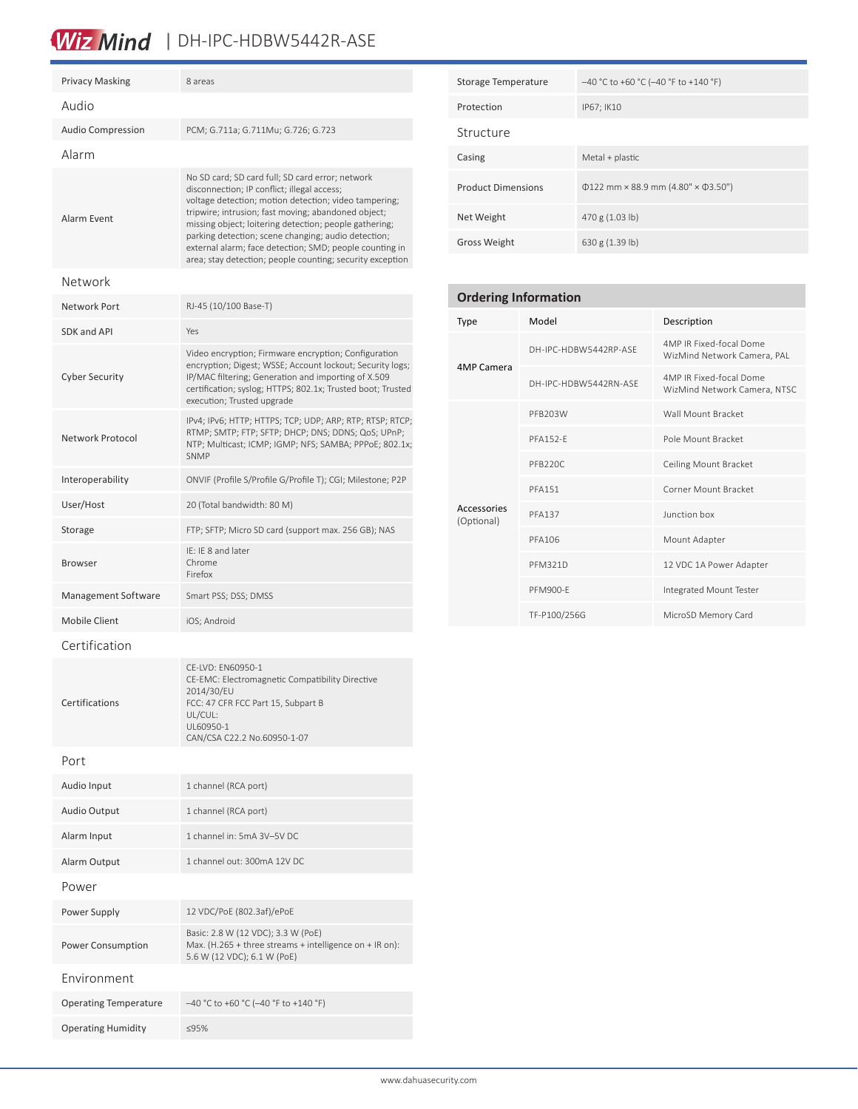# Wiz Mind | DH-IPC-HDBW5442R-ASE

| <b>Privacy Masking</b>       | 8 areas                                                                                                                                                                                                                                                                                                                                                                                                                                                  |  |  |  |  |
|------------------------------|----------------------------------------------------------------------------------------------------------------------------------------------------------------------------------------------------------------------------------------------------------------------------------------------------------------------------------------------------------------------------------------------------------------------------------------------------------|--|--|--|--|
| Audio                        |                                                                                                                                                                                                                                                                                                                                                                                                                                                          |  |  |  |  |
| <b>Audio Compression</b>     | PCM; G.711a; G.711Mu; G.726; G.723                                                                                                                                                                                                                                                                                                                                                                                                                       |  |  |  |  |
| Alarm                        |                                                                                                                                                                                                                                                                                                                                                                                                                                                          |  |  |  |  |
| Alarm Event                  | No SD card; SD card full; SD card error; network<br>disconnection; IP conflict; illegal access;<br>voltage detection; motion detection; video tampering;<br>tripwire; intrusion; fast moving; abandoned object;<br>missing object; loitering detection; people gathering;<br>parking detection; scene changing; audio detection;<br>external alarm; face detection; SMD; people counting in<br>area; stay detection; people counting; security exception |  |  |  |  |
| Network                      |                                                                                                                                                                                                                                                                                                                                                                                                                                                          |  |  |  |  |
| Network Port                 | RJ-45 (10/100 Base-T)                                                                                                                                                                                                                                                                                                                                                                                                                                    |  |  |  |  |
| SDK and API                  | Yes                                                                                                                                                                                                                                                                                                                                                                                                                                                      |  |  |  |  |
| <b>Cyber Security</b>        | Video encryption; Firmware encryption; Configuration<br>encryption; Digest; WSSE; Account lockout; Security logs;<br>IP/MAC filtering; Generation and importing of X.509<br>certification; syslog; HTTPS; 802.1x; Trusted boot; Trusted<br>execution; Trusted upgrade                                                                                                                                                                                    |  |  |  |  |
| Network Protocol             | IPv4; IPv6; HTTP; HTTPS; TCP; UDP; ARP; RTP; RTSP; RTCP;<br>RTMP; SMTP; FTP; SFTP; DHCP; DNS; DDNS; QoS; UPnP;<br>NTP; Multicast; ICMP; IGMP; NFS; SAMBA; PPPoE; 802.1x;<br><b>SNMP</b>                                                                                                                                                                                                                                                                  |  |  |  |  |
| Interoperability             | ONVIF (Profile S/Profile G/Profile T); CGI; Milestone; P2P                                                                                                                                                                                                                                                                                                                                                                                               |  |  |  |  |
| User/Host                    | 20 (Total bandwidth: 80 M)                                                                                                                                                                                                                                                                                                                                                                                                                               |  |  |  |  |
| Storage                      | FTP; SFTP; Micro SD card (support max. 256 GB); NAS                                                                                                                                                                                                                                                                                                                                                                                                      |  |  |  |  |
| <b>Browser</b>               | IE: IE 8 and later<br>Chrome<br>Firefox                                                                                                                                                                                                                                                                                                                                                                                                                  |  |  |  |  |
| Management Software          | Smart PSS; DSS; DMSS                                                                                                                                                                                                                                                                                                                                                                                                                                     |  |  |  |  |
| <b>Mobile Client</b>         | iOS; Android                                                                                                                                                                                                                                                                                                                                                                                                                                             |  |  |  |  |
| Certification                |                                                                                                                                                                                                                                                                                                                                                                                                                                                          |  |  |  |  |
| Certifications               | CE-LVD: EN60950-1<br>CE-EMC: Electromagnetic Compatibility Directive<br>2014/30/EU<br>FCC: 47 CFR FCC Part 15, Subpart B<br>UL/CUL:<br>UL60950-1<br>CAN/CSA C22.2 No.60950-1-07                                                                                                                                                                                                                                                                          |  |  |  |  |
| Port                         |                                                                                                                                                                                                                                                                                                                                                                                                                                                          |  |  |  |  |
| Audio Input                  | 1 channel (RCA port)                                                                                                                                                                                                                                                                                                                                                                                                                                     |  |  |  |  |
| Audio Output                 | 1 channel (RCA port)                                                                                                                                                                                                                                                                                                                                                                                                                                     |  |  |  |  |
| Alarm Input                  | 1 channel in: 5mA 3V-5V DC                                                                                                                                                                                                                                                                                                                                                                                                                               |  |  |  |  |
| Alarm Output                 | 1 channel out: 300mA 12V DC                                                                                                                                                                                                                                                                                                                                                                                                                              |  |  |  |  |
| Power                        |                                                                                                                                                                                                                                                                                                                                                                                                                                                          |  |  |  |  |
| Power Supply                 | 12 VDC/PoE (802.3af)/ePoE                                                                                                                                                                                                                                                                                                                                                                                                                                |  |  |  |  |
| Power Consumption            | Basic: 2.8 W (12 VDC); 3.3 W (PoE)<br>Max. (H.265 + three streams + intelligence on + IR on):<br>5.6 W (12 VDC); 6.1 W (PoE)                                                                                                                                                                                                                                                                                                                             |  |  |  |  |
| Environment                  |                                                                                                                                                                                                                                                                                                                                                                                                                                                          |  |  |  |  |
| <b>Operating Temperature</b> | -40 °C to +60 °C (-40 °F to +140 °F)                                                                                                                                                                                                                                                                                                                                                                                                                     |  |  |  |  |

Operating Humidity ≤95%

| Storage Temperature       | $-40$ °C to +60 °C (-40 °F to +140 °F)         |
|---------------------------|------------------------------------------------|
| Protection                | IP67; IK10                                     |
| Structure                 |                                                |
| Casing                    | Metal + plastic                                |
| <b>Product Dimensions</b> | $\Phi$ 122 mm × 88.9 mm (4.80" × $\Phi$ 3.50") |
| Net Weight                | 470 g (1.03 lb)                                |
| <b>Gross Weight</b>       | 630 g (1.39 lb)                                |

| <b>Ordering Information</b> |                       |                                                         |  |  |
|-----------------------------|-----------------------|---------------------------------------------------------|--|--|
| Type                        | Model                 | Description                                             |  |  |
| 4MP Camera                  | DH-IPC-HDBW5442RP-ASF | 4MP IR Fixed-focal Dome<br>WizMind Network Camera, PAL  |  |  |
|                             | DH-IPC-HDBW5442RN-ASF | 4MP IR Fixed-focal Dome<br>WizMind Network Camera, NTSC |  |  |
|                             | PFB203W               | Wall Mount Bracket                                      |  |  |
|                             | <b>PFA152-F</b>       | Pole Mount Bracket                                      |  |  |
|                             | PFB220C               | Ceiling Mount Bracket                                   |  |  |
|                             | <b>PFA151</b>         | Corner Mount Bracket                                    |  |  |
| Accessories<br>(Optional)   | <b>PFA137</b>         | Junction box                                            |  |  |
|                             | <b>PFA106</b>         | Mount Adapter                                           |  |  |
|                             | <b>PFM321D</b>        | 12 VDC 1A Power Adapter                                 |  |  |
|                             | PFM900-F              | Integrated Mount Tester                                 |  |  |
|                             | TF-P100/256G          | MicroSD Memory Card                                     |  |  |